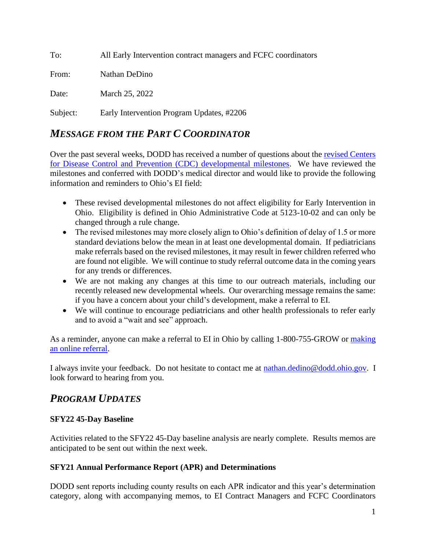To: All Early Intervention contract managers and FCFC coordinators

From: Nathan DeDino

Date: March 25, 2022

Subject: Early Intervention Program Updates, #2206

## *MESSAGE FROM THE PART C COORDINATOR*

Over the past several weeks, DODD has received a number of questions about the [revised Centers](https://www.cdc.gov/ncbddd/actearly/milestones/index.html)  [for Disease Control and Prevention \(CDC\) developmental milestones.](https://www.cdc.gov/ncbddd/actearly/milestones/index.html) We have reviewed the milestones and conferred with DODD's medical director and would like to provide the following information and reminders to Ohio's EI field:

- These revised developmental milestones do not affect eligibility for Early Intervention in Ohio. Eligibility is defined in Ohio Administrative Code at 5123-10-02 and can only be changed through a rule change.
- The revised milestones may more closely align to Ohio's definition of delay of 1.5 or more standard deviations below the mean in at least one developmental domain. If pediatricians make referrals based on the revised milestones, it may result in fewer children referred who are found not eligible. We will continue to study referral outcome data in the coming years for any trends or differences.
- We are not making any changes at this time to our outreach materials, including our recently released new developmental wheels. Our overarching message remains the same: if you have a concern about your child's development, make a referral to EI.
- We will continue to encourage pediatricians and other health professionals to refer early and to avoid a "wait and see" approach.

As a reminder, anyone can make a referral to EI in Ohio by calling 1-800-755-GROW or [making](https://odhgateway.odh.ohio.gov/ochids/public/refer)  [an online referral.](https://odhgateway.odh.ohio.gov/ochids/public/refer)

I always invite your feedback. Do not hesitate to contact me at [nathan.dedino@dodd.ohio.gov.](mailto:nathan.dedino@dodd.ohio.gov) I look forward to hearing from you.

# *PROGRAM UPDATES*

#### **SFY22 45-Day Baseline**

Activities related to the SFY22 45-Day baseline analysis are nearly complete. Results memos are anticipated to be sent out within the next week.

#### **SFY21 Annual Performance Report (APR) and Determinations**

DODD sent reports including county results on each APR indicator and this year's determination category, along with accompanying memos, to EI Contract Managers and FCFC Coordinators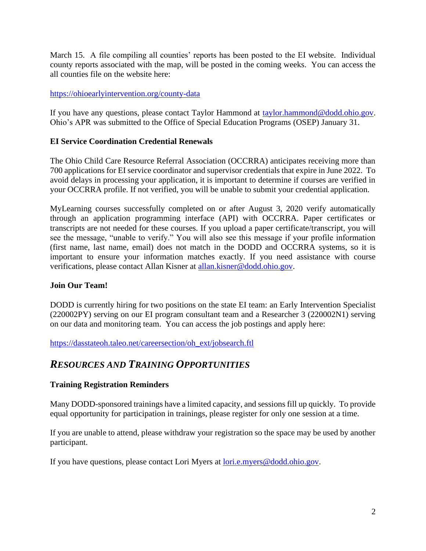March 15. A file compiling all counties' reports has been posted to the EI website. Individual county reports associated with the map, will be posted in the coming weeks. You can access the all counties file on the website here:

#### <https://ohioearlyintervention.org/county-data>

If you have any questions, please contact Taylor Hammond at [taylor.hammond@dodd.ohio.gov.](mailto:taylor.hammond@dodd.ohio.gov) Ohio's APR was submitted to the Office of Special Education Programs (OSEP) January 31.

#### **EI Service Coordination Credential Renewals**

The Ohio Child Care Resource Referral Association (OCCRRA) anticipates receiving more than 700 applications for EI service coordinator and supervisor credentials that expire in June 2022. To avoid delays in processing your application, it is important to determine if courses are verified in your OCCRRA profile. If not verified, you will be unable to submit your credential application.

MyLearning courses successfully completed on or after August 3, 2020 verify automatically through an application programming interface (API) with OCCRRA. Paper certificates or transcripts are not needed for these courses. If you upload a paper certificate/transcript, you will see the message, "unable to verify." You will also see this message if your profile information (first name, last name, email) does not match in the DODD and OCCRRA systems, so it is important to ensure your information matches exactly. If you need assistance with course verifications, please contact Allan Kisner at [allan.kisner@dodd.ohio.gov.](mailto:allan.kisner@dodd.ohio.gov)

#### **Join Our Team!**

DODD is currently hiring for two positions on the state EI team: an Early Intervention Specialist (220002PY) serving on our EI program consultant team and a Researcher 3 (220002N1) serving on our data and monitoring team. You can access the job postings and apply here:

[https://dasstateoh.taleo.net/careersection/oh\\_ext/jobsearch.ftl](https://dasstateoh.taleo.net/careersection/oh_ext/jobsearch.ftl)

## *RESOURCES AND TRAINING OPPORTUNITIES*

#### **Training Registration Reminders**

Many DODD-sponsored trainings have a limited capacity, and sessions fill up quickly. To provide equal opportunity for participation in trainings, please register for only one session at a time.

If you are unable to attend, please withdraw your registration so the space may be used by another participant.

If you have questions, please contact Lori Myers at [lori.e.myers@dodd.ohio.gov.](mailto:lori.e.myers@dodd.ohio.gov)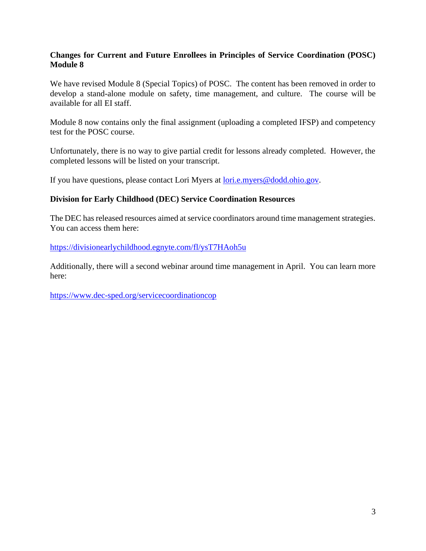#### **Changes for Current and Future Enrollees in Principles of Service Coordination (POSC) Module 8**

We have revised Module 8 (Special Topics) of POSC. The content has been removed in order to develop a stand-alone module on safety, time management, and culture. The course will be available for all EI staff.

Module 8 now contains only the final assignment (uploading a completed IFSP) and competency test for the POSC course.

Unfortunately, there is no way to give partial credit for lessons already completed. However, the completed lessons will be listed on your transcript.

If you have questions, please contact Lori Myers at [lori.e.myers@dodd.ohio.gov.](mailto:lori.e.myers@dodd.ohio.gov)

#### **Division for Early Childhood (DEC) Service Coordination Resources**

The DEC has released resources aimed at service coordinators around time management strategies. You can access them here:

<https://divisionearlychildhood.egnyte.com/fl/ysT7HAoh5u>

Additionally, there will a second webinar around time management in April. You can learn more here:

<https://www.dec-sped.org/servicecoordinationcop>